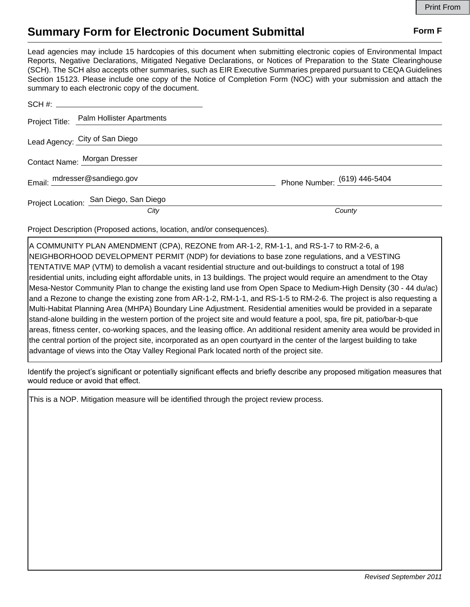## **Summary Form for Electronic Document Submittal Form F Form F**

Lead agencies may include 15 hardcopies of this document when submitting electronic copies of Environmental Impact Reports, Negative Declarations, Mitigated Negative Declarations, or Notices of Preparation to the State Clearinghouse (SCH). The SCH also accepts other summaries, such as EIR Executive Summaries prepared pursuant to CEQA Guidelines Section 15123. Please include one copy of the Notice of Completion Form (NOC) with your submission and attach the summary to each electronic copy of the document.

|  | Project Title: Palm Hollister Apartments |                              |
|--|------------------------------------------|------------------------------|
|  | Lead Agency: City of San Diego           |                              |
|  | Contact Name: Morgan Dresser             |                              |
|  | Email: mdresser@sandiego.gov             | Phone Number: (619) 446-5404 |
|  | Project Location: San Diego, San Diego   |                              |
|  | City                                     | County                       |

Project Description (Proposed actions, location, and/or consequences).

A COMMUNITY PLAN AMENDMENT (CPA), REZONE from AR-1-2, RM-1-1, and RS-1-7 to RM-2-6, a NEIGHBORHOOD DEVELOPMENT PERMIT (NDP) for deviations to base zone regulations, and a VESTING TENTATIVE MAP (VTM) to demolish a vacant residential structure and out-buildings to construct a total of 198 residential units, including eight affordable units, in 13 buildings. The project would require an amendment to the Otay Mesa-Nestor Community Plan to change the existing land use from Open Space to Medium-High Density (30 - 44 du/ac) and a Rezone to change the existing zone from AR-1-2, RM-1-1, and RS-1-5 to RM-2-6. The project is also requesting a Multi-Habitat Planning Area (MHPA) Boundary Line Adjustment. Residential amenities would be provided in a separate stand-alone building in the western portion of the project site and would feature a pool, spa, fire pit, patio/bar-b-que areas, fitness center, co-working spaces, and the leasing office. An additional resident amenity area would be provided in the central portion of the project site, incorporated as an open courtyard in the center of the largest building to take advantage of views into the Otay Valley Regional Park located north of the project site.

Identify the project's significant or potentially significant effects and briefly describe any proposed mitigation measures that would reduce or avoid that effect.

This is a NOP. Mitigation measure will be identified through the project review process.